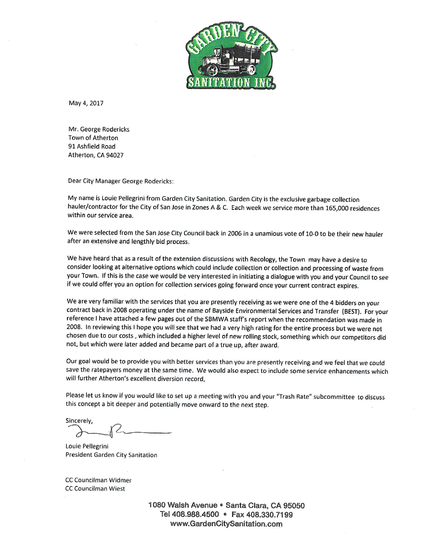

May 4, 2017

Mr. George Rodericks Town of Atherton 91 Ashfield Road Atherton, CA 94027

Dear City Manager George Rodericks:

My name is Louie Pellegrini from Garden City Sanitation. Garden City is the exclusive garbage collection hauler/contractor for the City of San Jose in Zones A & C. Each week we service more than 165,000 residences within our service area.

We were selected from the San Jose City Council back in 2006 in a unamious vote of 10-0 to be their new hauler after an extensive and lengthly bid process.

We have heard that as a result of the extension discussions with Recology, the Town may have a desire to consider looking at alternative options which could include collection or collection and processing of waste from your Town. If this is the case we would be very interested in initiating a dialogue with you and your Council to see if we could offer you an option for collection services going forward once your current contract expires.

We are very familiar with the services that you are presently receiving as we were one of the 4 bidders on your contract back in 2008 operating under the name of Bayside Environmental Services and Transfer (BEST). For your reference I have attached a few pages out of the SBMWA staff's report when the recommendation was made in 2008. In reviewing this I hope you will see that we had a very high rating for the entire process but we were not chosen due to our costs, which included a higher level of new rolling stock, something which our competitors did not, but which were later added and became part of a true up, after award.

Our goal would be to provide you with better services than you are presently receiving and we feel that we could save the ratepayers money at the same time. We would also expect to include some service enhancements which will further Atherton's excellent diversion record.

Please let us know if you would like to set up a meeting with you and your "Trash Rate" subcommittee to discuss this concept a bit deeper and potentially move onward to the next step.

Sincerely,

Louie Pellegrini President Garden City Sanitation

CC Councilman Widmer CC Councilman Wiest

> 1080 Walsh Avenue · Santa Clara, CA 95050 Tel 408.988.4500 • Fax 408.330.7199 www.GardenCltySanitatlon.com